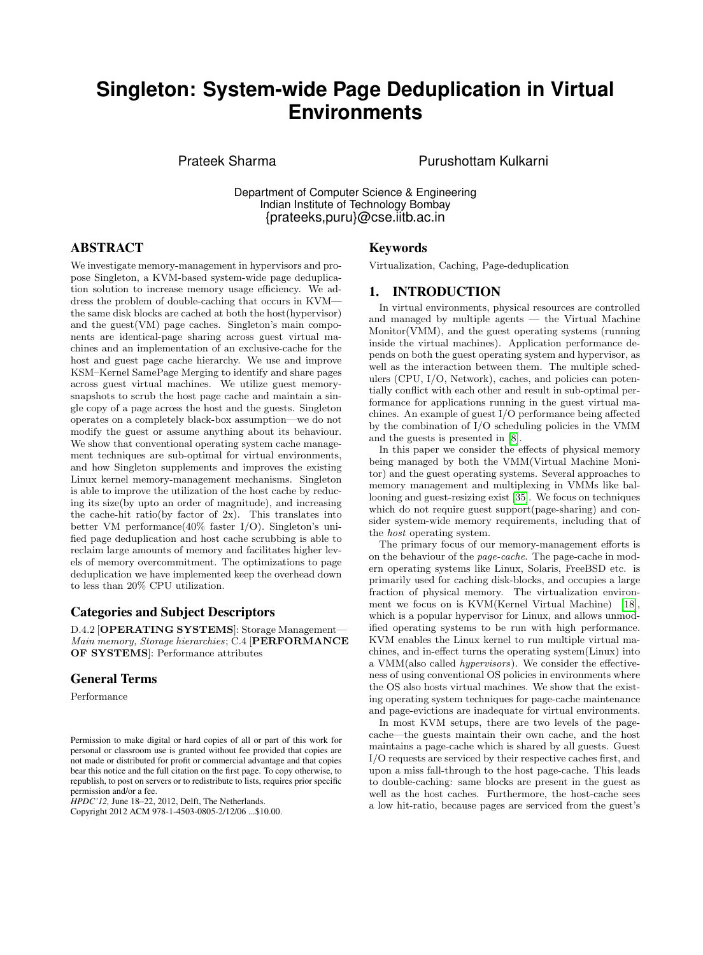# **Singleton: System-wide Page Deduplication in Virtual Environments**

Prateek Sharma Purushottam Kulkarni

Department of Computer Science & Engineering Indian Institute of Technology Bombay {prateeks,puru}@cse.iitb.ac.in

# ABSTRACT

We investigate memory-management in hypervisors and propose Singleton, a KVM-based system-wide page deduplication solution to increase memory usage efficiency. We address the problem of double-caching that occurs in KVM the same disk blocks are cached at both the host(hypervisor) and the guest(VM) page caches. Singleton's main components are identical-page sharing across guest virtual machines and an implementation of an exclusive-cache for the host and guest page cache hierarchy. We use and improve KSM–Kernel SamePage Merging to identify and share pages across guest virtual machines. We utilize guest memorysnapshots to scrub the host page cache and maintain a single copy of a page across the host and the guests. Singleton operates on a completely black-box assumption—we do not modify the guest or assume anything about its behaviour. We show that conventional operating system cache management techniques are sub-optimal for virtual environments, and how Singleton supplements and improves the existing Linux kernel memory-management mechanisms. Singleton is able to improve the utilization of the host cache by reducing its size(by upto an order of magnitude), and increasing the cache-hit ratio(by factor of 2x). This translates into better VM performance(40% faster I/O). Singleton's unified page deduplication and host cache scrubbing is able to reclaim large amounts of memory and facilitates higher levels of memory overcommitment. The optimizations to page deduplication we have implemented keep the overhead down to less than 20% CPU utilization.

# Categories and Subject Descriptors

D.4.2 [OPERATING SYSTEMS]: Storage Management— Main memory, Storage hierarchies; C.4 [PERFORMANCE OF SYSTEMS]: Performance attributes

# General Terms

Performance

*HPDC'12,* June 18–22, 2012, Delft, The Netherlands.

Copyright 2012 ACM 978-1-4503-0805-2/12/06 ...\$10.00.

#### Keywords

Virtualization, Caching, Page-deduplication

# 1. INTRODUCTION

In virtual environments, physical resources are controlled and managed by multiple agents — the Virtual Machine Monitor(VMM), and the guest operating systems (running inside the virtual machines). Application performance depends on both the guest operating system and hypervisor, as well as the interaction between them. The multiple schedulers (CPU, I/O, Network), caches, and policies can potentially conflict with each other and result in sub-optimal performance for applications running in the guest virtual machines. An example of guest I/O performance being affected by the combination of I/O scheduling policies in the VMM and the guests is presented in [\[8\]](#page-10-0).

In this paper we consider the effects of physical memory being managed by both the VMM(Virtual Machine Monitor) and the guest operating systems. Several approaches to memory management and multiplexing in VMMs like ballooning and guest-resizing exist [\[35\]](#page-11-0). We focus on techniques which do not require guest support(page-sharing) and consider system-wide memory requirements, including that of the host operating system.

The primary focus of our memory-management efforts is on the behaviour of the page-cache. The page-cache in modern operating systems like Linux, Solaris, FreeBSD etc. is primarily used for caching disk-blocks, and occupies a large fraction of physical memory. The virtualization environment we focus on is KVM(Kernel Virtual Machine) [\[18\]](#page-11-1), which is a popular hypervisor for Linux, and allows unmodified operating systems to be run with high performance. KVM enables the Linux kernel to run multiple virtual machines, and in-effect turns the operating system(Linux) into a VMM(also called hypervisors). We consider the effectiveness of using conventional OS policies in environments where the OS also hosts virtual machines. We show that the existing operating system techniques for page-cache maintenance and page-evictions are inadequate for virtual environments.

In most KVM setups, there are two levels of the pagecache—the guests maintain their own cache, and the host maintains a page-cache which is shared by all guests. Guest I/O requests are serviced by their respective caches first, and upon a miss fall-through to the host page-cache. This leads to double-caching: same blocks are present in the guest as well as the host caches. Furthermore, the host-cache sees a low hit-ratio, because pages are serviced from the guest's

Permission to make digital or hard copies of all or part of this work for personal or classroom use is granted without fee provided that copies are not made or distributed for profit or commercial advantage and that copies bear this notice and the full citation on the first page. To copy otherwise, to republish, to post on servers or to redistribute to lists, requires prior specific permission and/or a fee.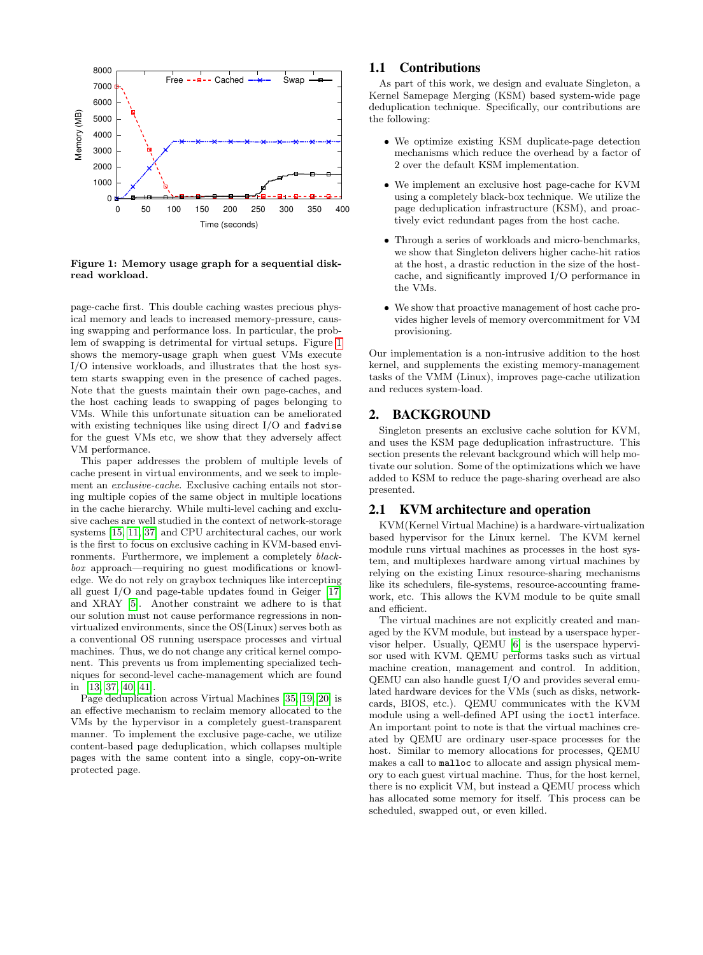

<span id="page-1-0"></span>Figure 1: Memory usage graph for a sequential diskread workload.

page-cache first. This double caching wastes precious physical memory and leads to increased memory-pressure, causing swapping and performance loss. In particular, the problem of swapping is detrimental for virtual setups. Figure [1](#page-1-0) shows the memory-usage graph when guest VMs execute I/O intensive workloads, and illustrates that the host system starts swapping even in the presence of cached pages. Note that the guests maintain their own page-caches, and the host caching leads to swapping of pages belonging to VMs. While this unfortunate situation can be ameliorated with existing techniques like using direct I/O and fadvise for the guest VMs etc, we show that they adversely affect VM performance.

This paper addresses the problem of multiple levels of cache present in virtual environments, and we seek to implement an *exclusive-cache*. Exclusive caching entails not storing multiple copies of the same object in multiple locations in the cache hierarchy. While multi-level caching and exclusive caches are well studied in the context of network-storage systems [\[15,](#page-11-2) [11,](#page-10-1) [37\]](#page-11-3) and CPU architectural caches, our work is the first to focus on exclusive caching in KVM-based environments. Furthermore, we implement a completely *black*box approach—requiring no guest modifications or knowledge. We do not rely on graybox techniques like intercepting all guest I/O and page-table updates found in Geiger [\[17\]](#page-11-4) and XRAY [\[5\]](#page-10-2). Another constraint we adhere to is that our solution must not cause performance regressions in nonvirtualized environments, since the OS(Linux) serves both as a conventional OS running userspace processes and virtual machines. Thus, we do not change any critical kernel component. This prevents us from implementing specialized techniques for second-level cache-management which are found in [\[13,](#page-10-3) [37,](#page-11-3) [40,](#page-11-5) [41\]](#page-11-6).

Page deduplication across Virtual Machines [\[35,](#page-11-0) [19,](#page-11-7) [20\]](#page-11-8) is an effective mechanism to reclaim memory allocated to the VMs by the hypervisor in a completely guest-transparent manner. To implement the exclusive page-cache, we utilize content-based page deduplication, which collapses multiple pages with the same content into a single, copy-on-write protected page.

## 1.1 Contributions

As part of this work, we design and evaluate Singleton, a Kernel Samepage Merging (KSM) based system-wide page deduplication technique. Specifically, our contributions are the following:

- We optimize existing KSM duplicate-page detection mechanisms which reduce the overhead by a factor of 2 over the default KSM implementation.
- We implement an exclusive host page-cache for KVM using a completely black-box technique. We utilize the page deduplication infrastructure (KSM), and proactively evict redundant pages from the host cache.
- Through a series of workloads and micro-benchmarks, we show that Singleton delivers higher cache-hit ratios at the host, a drastic reduction in the size of the hostcache, and significantly improved I/O performance in the VMs.
- We show that proactive management of host cache provides higher levels of memory overcommitment for VM provisioning.

Our implementation is a non-intrusive addition to the host kernel, and supplements the existing memory-management tasks of the VMM (Linux), improves page-cache utilization and reduces system-load.

## 2. BACKGROUND

Singleton presents an exclusive cache solution for KVM, and uses the KSM page deduplication infrastructure. This section presents the relevant background which will help motivate our solution. Some of the optimizations which we have added to KSM to reduce the page-sharing overhead are also presented.

#### 2.1 KVM architecture and operation

KVM(Kernel Virtual Machine) is a hardware-virtualization based hypervisor for the Linux kernel. The KVM kernel module runs virtual machines as processes in the host system, and multiplexes hardware among virtual machines by relying on the existing Linux resource-sharing mechanisms like its schedulers, file-systems, resource-accounting framework, etc. This allows the KVM module to be quite small and efficient.

The virtual machines are not explicitly created and managed by the KVM module, but instead by a userspace hypervisor helper. Usually, QEMU [\[6\]](#page-10-4) is the userspace hypervisor used with KVM. QEMU performs tasks such as virtual machine creation, management and control. In addition, QEMU can also handle guest I/O and provides several emulated hardware devices for the VMs (such as disks, networkcards, BIOS, etc.). QEMU communicates with the KVM module using a well-defined API using the ioctl interface. An important point to note is that the virtual machines created by QEMU are ordinary user-space processes for the host. Similar to memory allocations for processes, QEMU makes a call to malloc to allocate and assign physical memory to each guest virtual machine. Thus, for the host kernel, there is no explicit VM, but instead a QEMU process which has allocated some memory for itself. This process can be scheduled, swapped out, or even killed.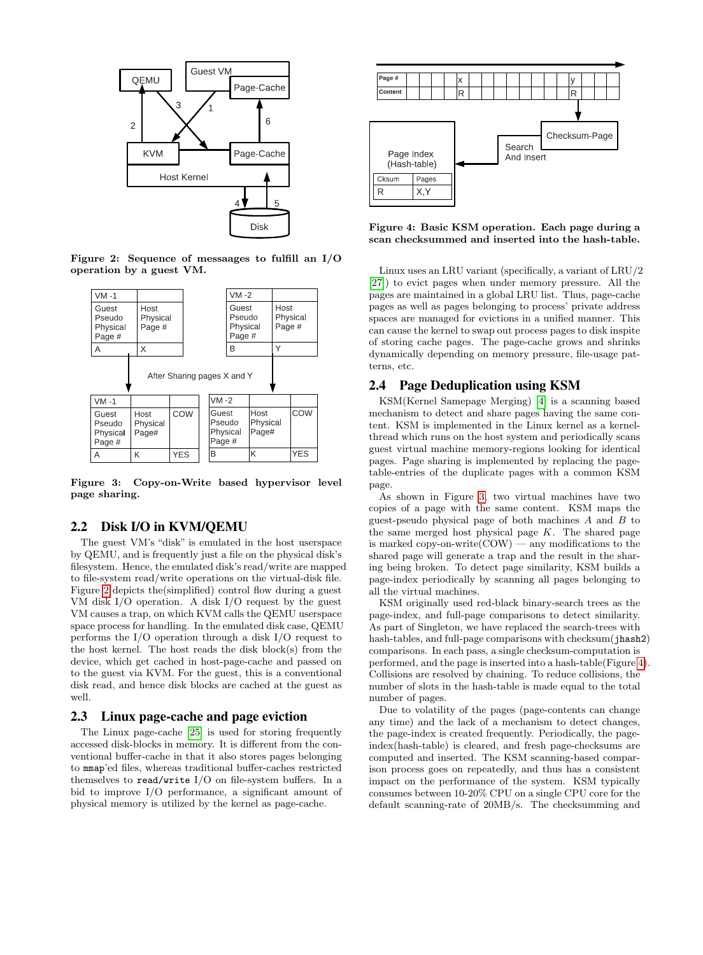

Figure 2: Sequence of messaages to fulfill an I/O operation by a guest VM.



Figure 3: Copy-on-Write based hypervisor level page sharing.

## 2.2 Disk I/O in KVM/QEMU

The guest VM's "disk" is emulated in the host userspace by QEMU, and is frequently just a file on the physical disk's filesystem. Hence, the emulated disk's read/write are mapped to file-system read/write operations on the virtual-disk file. Figure [2](#page-2-0) depicts the(simplified) control flow during a guest VM disk I/O operation. A disk I/O request by the guest VM causes a trap, on which KVM calls the QEMU userspace space process for handling. In the emulated disk case, QEMU performs the I/O operation through a disk I/O request to the host kernel. The host reads the disk block(s) from the device, which get cached in host-page-cache and passed on to the guest via KVM. For the guest, this is a conventional disk read, and hence disk blocks are cached at the guest as well.

## 2.3 Linux page-cache and page eviction

The Linux page-cache [\[25\]](#page-11-9) is used for storing frequently accessed disk-blocks in memory. It is different from the conventional buffer-cache in that it also stores pages belonging to mmap'ed files, whereas traditional buffer-caches restricted themselves to read/write I/O on file-system buffers. In a bid to improve I/O performance, a significant amount of physical memory is utilized by the kernel as page-cache.



<span id="page-2-2"></span><span id="page-2-0"></span>Figure 4: Basic KSM operation. Each page during a scan checksummed and inserted into the hash-table.

Linux uses an LRU variant (specifically, a variant of LRU/2 [\[27\]](#page-11-10)) to evict pages when under memory pressure. All the pages are maintained in a global LRU list. Thus, page-cache pages as well as pages belonging to process' private address spaces are managed for evictions in a unified manner. This can cause the kernel to swap out process pages to disk inspite of storing cache pages. The page-cache grows and shrinks dynamically depending on memory pressure, file-usage patterns, etc.

## <span id="page-2-3"></span>2.4 Page Deduplication using KSM

KSM(Kernel Samepage Merging) [\[4\]](#page-10-5) is a scanning based mechanism to detect and share pages having the same content. KSM is implemented in the Linux kernel as a kernelthread which runs on the host system and periodically scans guest virtual machine memory-regions looking for identical pages. Page sharing is implemented by replacing the pagetable-entries of the duplicate pages with a common KSM page.

<span id="page-2-1"></span>As shown in Figure [3,](#page-2-1) two virtual machines have two copies of a page with the same content. KSM maps the guest-pseudo physical page of both machines  $A$  and  $B$  to the same merged host physical page  $K$ . The shared page is marked copy-on-write $(COW)$  — any modifications to the shared page will generate a trap and the result in the sharing being broken. To detect page similarity, KSM builds a page-index periodically by scanning all pages belonging to all the virtual machines.

KSM originally used red-black binary-search trees as the page-index, and full-page comparisons to detect similarity. As part of Singleton, we have replaced the search-trees with hash-tables, and full-page comparisons with checksum (jhash2) comparisons. In each pass, a single checksum-computation is performed, and the page is inserted into a hash-table(Figure [4\)](#page-2-2). Collisions are resolved by chaining. To reduce collisions, the number of slots in the hash-table is made equal to the total number of pages.

Due to volatility of the pages (page-contents can change any time) and the lack of a mechanism to detect changes, the page-index is created frequently. Periodically, the pageindex(hash-table) is cleared, and fresh page-checksums are computed and inserted. The KSM scanning-based comparison process goes on repeatedly, and thus has a consistent impact on the performance of the system. KSM typically consumes between 10-20% CPU on a single CPU core for the default scanning-rate of 20MB/s. The checksumming and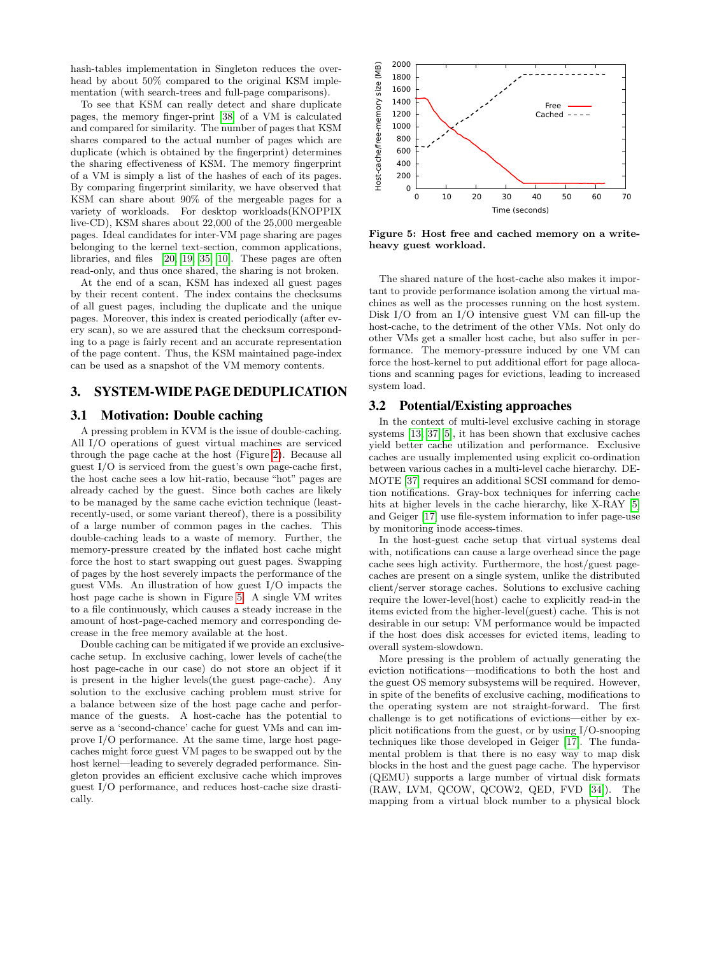hash-tables implementation in Singleton reduces the overhead by about 50% compared to the original KSM implementation (with search-trees and full-page comparisons).

To see that KSM can really detect and share duplicate pages, the memory finger-print [\[38\]](#page-11-11) of a VM is calculated and compared for similarity. The number of pages that KSM shares compared to the actual number of pages which are duplicate (which is obtained by the fingerprint) determines the sharing effectiveness of KSM. The memory fingerprint of a VM is simply a list of the hashes of each of its pages. By comparing fingerprint similarity, we have observed that KSM can share about 90% of the mergeable pages for a variety of workloads. For desktop workloads(KNOPPIX live-CD), KSM shares about 22,000 of the 25,000 mergeable pages. Ideal candidates for inter-VM page sharing are pages belonging to the kernel text-section, common applications, libraries, and files [\[20,](#page-11-8) [19,](#page-11-7) [35,](#page-11-0) [10\]](#page-10-6). These pages are often read-only, and thus once shared, the sharing is not broken.

At the end of a scan, KSM has indexed all guest pages by their recent content. The index contains the checksums of all guest pages, including the duplicate and the unique pages. Moreover, this index is created periodically (after every scan), so we are assured that the checksum corresponding to a page is fairly recent and an accurate representation of the page content. Thus, the KSM maintained page-index can be used as a snapshot of the VM memory contents.

# 3. SYSTEM-WIDE PAGE DEDUPLICATION

## 3.1 Motivation: Double caching

A pressing problem in KVM is the issue of double-caching. All I/O operations of guest virtual machines are serviced through the page cache at the host (Figure [2\)](#page-2-0). Because all guest I/O is serviced from the guest's own page-cache first, the host cache sees a low hit-ratio, because "hot" pages are already cached by the guest. Since both caches are likely to be managed by the same cache eviction technique (leastrecently-used, or some variant thereof), there is a possibility of a large number of common pages in the caches. This double-caching leads to a waste of memory. Further, the memory-pressure created by the inflated host cache might force the host to start swapping out guest pages. Swapping of pages by the host severely impacts the performance of the guest VMs. An illustration of how guest I/O impacts the host page cache is shown in Figure [5.](#page-3-0) A single VM writes to a file continuously, which causes a steady increase in the amount of host-page-cached memory and corresponding decrease in the free memory available at the host.

Double caching can be mitigated if we provide an exclusivecache setup. In exclusive caching, lower levels of cache(the host page-cache in our case) do not store an object if it is present in the higher levels(the guest page-cache). Any solution to the exclusive caching problem must strive for a balance between size of the host page cache and performance of the guests. A host-cache has the potential to serve as a 'second-chance' cache for guest VMs and can improve I/O performance. At the same time, large host pagecaches might force guest VM pages to be swapped out by the host kernel—leading to severely degraded performance. Singleton provides an efficient exclusive cache which improves guest I/O performance, and reduces host-cache size drastically.



<span id="page-3-0"></span>Figure 5: Host free and cached memory on a writeheavy guest workload.

The shared nature of the host-cache also makes it important to provide performance isolation among the virtual machines as well as the processes running on the host system. Disk I/O from an I/O intensive guest VM can fill-up the host-cache, to the detriment of the other VMs. Not only do other VMs get a smaller host cache, but also suffer in performance. The memory-pressure induced by one VM can force the host-kernel to put additional effort for page allocations and scanning pages for evictions, leading to increased system load.

### 3.2 Potential/Existing approaches

In the context of multi-level exclusive caching in storage systems [\[13,](#page-10-3) [37,](#page-11-3) [5\]](#page-10-2), it has been shown that exclusive caches yield better cache utilization and performance. Exclusive caches are usually implemented using explicit co-ordination between various caches in a multi-level cache hierarchy. DE-MOTE [\[37\]](#page-11-3) requires an additional SCSI command for demotion notifications. Gray-box techniques for inferring cache hits at higher levels in the cache hierarchy, like X-RAY [\[5\]](#page-10-2) and Geiger [\[17\]](#page-11-4) use file-system information to infer page-use by monitoring inode access-times.

In the host-guest cache setup that virtual systems deal with, notifications can cause a large overhead since the page cache sees high activity. Furthermore, the host/guest pagecaches are present on a single system, unlike the distributed client/server storage caches. Solutions to exclusive caching require the lower-level(host) cache to explicitly read-in the items evicted from the higher-level(guest) cache. This is not desirable in our setup: VM performance would be impacted if the host does disk accesses for evicted items, leading to overall system-slowdown.

More pressing is the problem of actually generating the eviction notifications—modifications to both the host and the guest OS memory subsystems will be required. However, in spite of the benefits of exclusive caching, modifications to the operating system are not straight-forward. The first challenge is to get notifications of evictions—either by explicit notifications from the guest, or by using I/O-snooping techniques like those developed in Geiger [\[17\]](#page-11-4). The fundamental problem is that there is no easy way to map disk blocks in the host and the guest page cache. The hypervisor (QEMU) supports a large number of virtual disk formats (RAW, LVM, QCOW, QCOW2, QED, FVD [\[34\]](#page-11-12)). The mapping from a virtual block number to a physical block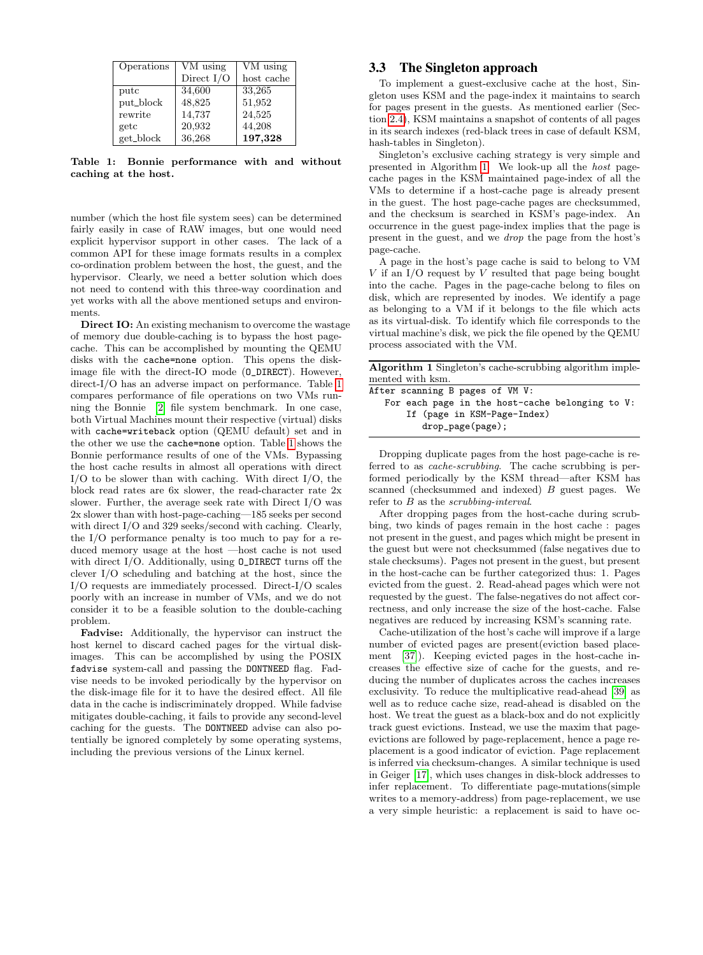| Operations | VM using     | VM using   |
|------------|--------------|------------|
|            | Direct $I/O$ | host cache |
| putc       | 34,600       | 33,265     |
| put_block  | 48,825       | 51,952     |
| rewrite    | 14,737       | 24,525     |
| getc       | 20,932       | 44,208     |
| get_block  | 36,268       | 197,328    |

Table 1: Bonnie performance with and without caching at the host.

number (which the host file system sees) can be determined fairly easily in case of RAW images, but one would need explicit hypervisor support in other cases. The lack of a common API for these image formats results in a complex co-ordination problem between the host, the guest, and the hypervisor. Clearly, we need a better solution which does not need to contend with this three-way coordination and yet works with all the above mentioned setups and environments.

Direct IO: An existing mechanism to overcome the wastage of memory due double-caching is to bypass the host pagecache. This can be accomplished by mounting the QEMU disks with the cache=none option. This opens the diskimage file with the direct-IO mode (O\_DIRECT). However, direct-I/O has an adverse impact on performance. Table [1](#page-4-0) compares performance of file operations on two VMs running the Bonnie [\[2\]](#page-10-7) file system benchmark. In one case, both Virtual Machines mount their respective (virtual) disks with cache=writeback option (QEMU default) set and in the other we use the cache=none option. Table [1](#page-4-0) shows the Bonnie performance results of one of the VMs. Bypassing the host cache results in almost all operations with direct  $I/O$  to be slower than with caching. With direct  $I/O$ , the block read rates are 6x slower, the read-character rate 2x slower. Further, the average seek rate with Direct I/O was 2x slower than with host-page-caching—185 seeks per second with direct I/O and 329 seeks/second with caching. Clearly, the I/O performance penalty is too much to pay for a reduced memory usage at the host —host cache is not used with direct I/O. Additionally, using O\_DIRECT turns off the clever I/O scheduling and batching at the host, since the I/O requests are immediately processed. Direct-I/O scales poorly with an increase in number of VMs, and we do not consider it to be a feasible solution to the double-caching problem.

Fadvise: Additionally, the hypervisor can instruct the host kernel to discard cached pages for the virtual diskimages. This can be accomplished by using the POSIX fadvise system-call and passing the DONTNEED flag. Fadvise needs to be invoked periodically by the hypervisor on the disk-image file for it to have the desired effect. All file data in the cache is indiscriminately dropped. While fadvise mitigates double-caching, it fails to provide any second-level caching for the guests. The DONTNEED advise can also potentially be ignored completely by some operating systems, including the previous versions of the Linux kernel.

## 3.3 The Singleton approach

<span id="page-4-0"></span>To implement a guest-exclusive cache at the host, Singleton uses KSM and the page-index it maintains to search for pages present in the guests. As mentioned earlier (Section [2.4\)](#page-2-3), KSM maintains a snapshot of contents of all pages in its search indexes (red-black trees in case of default KSM, hash-tables in Singleton).

Singleton's exclusive caching strategy is very simple and presented in Algorithm [1.](#page-4-1) We look-up all the host pagecache pages in the KSM maintained page-index of all the VMs to determine if a host-cache page is already present in the guest. The host page-cache pages are checksummed, and the checksum is searched in KSM's page-index. An occurrence in the guest page-index implies that the page is present in the guest, and we drop the page from the host's page-cache.

A page in the host's page cache is said to belong to VM  $V$  if an I/O request by  $V$  resulted that page being bought into the cache. Pages in the page-cache belong to files on disk, which are represented by inodes. We identify a page as belonging to a VM if it belongs to the file which acts as its virtual-disk. To identify which file corresponds to the virtual machine's disk, we pick the file opened by the QEMU process associated with the VM.

| <b>Algorithm 1</b> Singleton's cache-scrubbing algorithm imple- |
|-----------------------------------------------------------------|
| mented with ksm.                                                |
| After scanning B pages of VM V:                                 |
| For each page in the host-cache belonging to V:                 |
| If (page in KSM-Page-Index)<br>drop_page(page);                 |
|                                                                 |

<span id="page-4-1"></span>Dropping duplicate pages from the host page-cache is referred to as cache-scrubbing. The cache scrubbing is performed periodically by the KSM thread—after KSM has scanned (checksummed and indexed) B guest pages. We refer to B as the scrubbing-interval.

After dropping pages from the host-cache during scrubbing, two kinds of pages remain in the host cache : pages not present in the guest, and pages which might be present in the guest but were not checksummed (false negatives due to stale checksums). Pages not present in the guest, but present in the host-cache can be further categorized thus: 1. Pages evicted from the guest. 2. Read-ahead pages which were not requested by the guest. The false-negatives do not affect correctness, and only increase the size of the host-cache. False negatives are reduced by increasing KSM's scanning rate.

Cache-utilization of the host's cache will improve if a large number of evicted pages are present(eviction based placement [\[37\]](#page-11-3)). Keeping evicted pages in the host-cache increases the effective size of cache for the guests, and reducing the number of duplicates across the caches increases exclusivity. To reduce the multiplicative read-ahead [\[39\]](#page-11-13) as well as to reduce cache size, read-ahead is disabled on the host. We treat the guest as a black-box and do not explicitly track guest evictions. Instead, we use the maxim that pageevictions are followed by page-replacement, hence a page replacement is a good indicator of eviction. Page replacement is inferred via checksum-changes. A similar technique is used in Geiger [\[17\]](#page-11-4), which uses changes in disk-block addresses to infer replacement. To differentiate page-mutations(simple writes to a memory-address) from page-replacement, we use a very simple heuristic: a replacement is said to have oc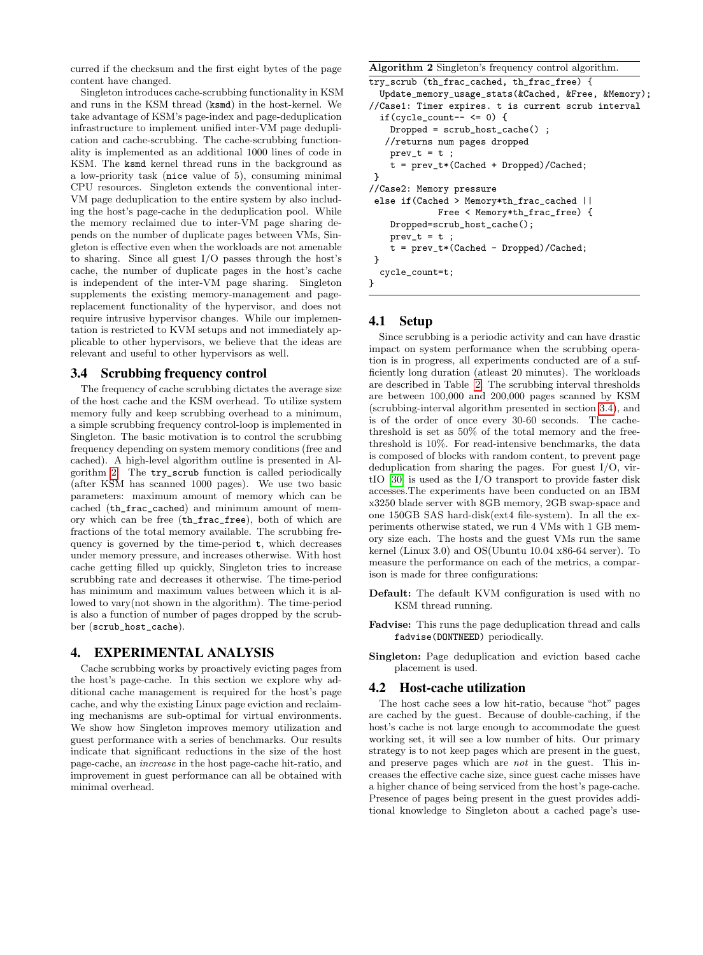curred if the checksum and the first eight bytes of the page content have changed.

Singleton introduces cache-scrubbing functionality in KSM and runs in the KSM thread (ksmd) in the host-kernel. We take advantage of KSM's page-index and page-deduplication infrastructure to implement unified inter-VM page deduplication and cache-scrubbing. The cache-scrubbing functionality is implemented as an additional 1000 lines of code in KSM. The ksmd kernel thread runs in the background as a low-priority task (nice value of 5), consuming minimal CPU resources. Singleton extends the conventional inter-VM page deduplication to the entire system by also including the host's page-cache in the deduplication pool. While the memory reclaimed due to inter-VM page sharing depends on the number of duplicate pages between VMs, Singleton is effective even when the workloads are not amenable to sharing. Since all guest I/O passes through the host's cache, the number of duplicate pages in the host's cache is independent of the inter-VM page sharing. Singleton supplements the existing memory-management and pagereplacement functionality of the hypervisor, and does not require intrusive hypervisor changes. While our implementation is restricted to KVM setups and not immediately applicable to other hypervisors, we believe that the ideas are relevant and useful to other hypervisors as well.

#### <span id="page-5-1"></span>3.4 Scrubbing frequency control

The frequency of cache scrubbing dictates the average size of the host cache and the KSM overhead. To utilize system memory fully and keep scrubbing overhead to a minimum, a simple scrubbing frequency control-loop is implemented in Singleton. The basic motivation is to control the scrubbing frequency depending on system memory conditions (free and cached). A high-level algorithm outline is presented in Algorithm [2.](#page-5-0) The try\_scrub function is called periodically (after KSM has scanned 1000 pages). We use two basic parameters: maximum amount of memory which can be cached (th\_frac\_cached) and minimum amount of memory which can be free (th\_frac\_free), both of which are fractions of the total memory available. The scrubbing frequency is governed by the time-period  $t$ , which decreases under memory pressure, and increases otherwise. With host cache getting filled up quickly, Singleton tries to increase scrubbing rate and decreases it otherwise. The time-period has minimum and maximum values between which it is allowed to vary(not shown in the algorithm). The time-period is also a function of number of pages dropped by the scrubber (scrub\_host\_cache).

## 4. EXPERIMENTAL ANALYSIS

Cache scrubbing works by proactively evicting pages from the host's page-cache. In this section we explore why additional cache management is required for the host's page cache, and why the existing Linux page eviction and reclaiming mechanisms are sub-optimal for virtual environments. We show how Singleton improves memory utilization and guest performance with a series of benchmarks. Our results indicate that significant reductions in the size of the host page-cache, an increase in the host page-cache hit-ratio, and improvement in guest performance can all be obtained with minimal overhead.

```
Algorithm 2 Singleton's frequency control algorithm.
try_scrub (th_frac_cached, th_frac_free) {
  Update_memory_usage_stats(&Cached, &Free, &Memory);
//Case1: Timer expires. t is current scrub interval
  if(cycle_count-- <- 0) {Dropped = scrub_host_cache() ;
   //returns num pages dropped
    prev_t = t;
    t = prev_t*(Cached + Dropped)/Cached;
 }
//Case2: Memory pressure
 else if(Cached > Memory*th_frac_cached ||
             Free < Memory*th_frac_free) {
    Dropped=scrub_host_cache();
    prev_t = t;
    t = prev_t*(Cached - Dropped)/Cached;
 }
  cycle_count=t;
}
```
# <span id="page-5-0"></span>4.1 Setup

Since scrubbing is a periodic activity and can have drastic impact on system performance when the scrubbing operation is in progress, all experiments conducted are of a sufficiently long duration (atleast 20 minutes). The workloads are described in Table [2.](#page-6-0) The scrubbing interval thresholds are between 100,000 and 200,000 pages scanned by KSM (scrubbing-interval algorithm presented in section [3.4\)](#page-5-1), and is of the order of once every 30-60 seconds. The cachethreshold is set as 50% of the total memory and the freethreshold is 10%. For read-intensive benchmarks, the data is composed of blocks with random content, to prevent page deduplication from sharing the pages. For guest I/O, virtIO [\[30\]](#page-11-14) is used as the I/O transport to provide faster disk accesses.The experiments have been conducted on an IBM x3250 blade server with 8GB memory, 2GB swap-space and one 150GB SAS hard-disk(ext4 file-system). In all the experiments otherwise stated, we run 4 VMs with 1 GB memory size each. The hosts and the guest VMs run the same kernel (Linux 3.0) and OS(Ubuntu 10.04 x86-64 server). To measure the performance on each of the metrics, a comparison is made for three configurations:

- Default: The default KVM configuration is used with no KSM thread running.
- Fadvise: This runs the page deduplication thread and calls fadvise(DONTNEED) periodically.
- Singleton: Page deduplication and eviction based cache placement is used.

## 4.2 Host-cache utilization

The host cache sees a low hit-ratio, because "hot" pages are cached by the guest. Because of double-caching, if the host's cache is not large enough to accommodate the guest working set, it will see a low number of hits. Our primary strategy is to not keep pages which are present in the guest, and preserve pages which are not in the guest. This increases the effective cache size, since guest cache misses have a higher chance of being serviced from the host's page-cache. Presence of pages being present in the guest provides additional knowledge to Singleton about a cached page's use-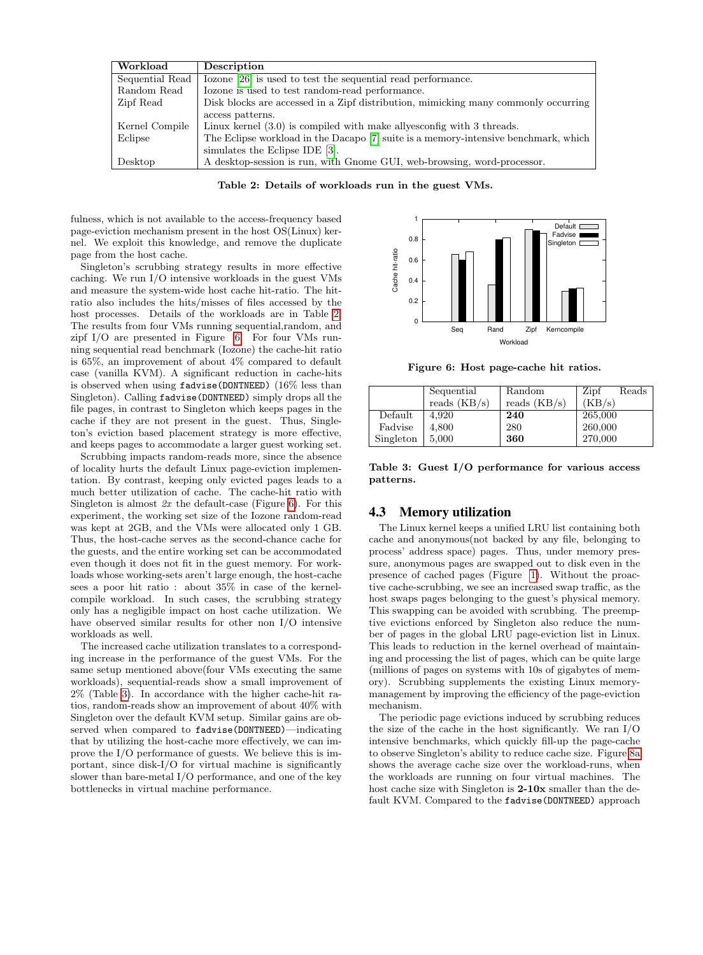| Workload        | Description                                                                         |
|-----------------|-------------------------------------------------------------------------------------|
| Sequential Read | Iozone [26] is used to test the sequential read performance.                        |
| Random Read     | Iozone is used to test random-read performance.                                     |
| Zipf Read       | Disk blocks are accessed in a Zipf distribution, mimicking many commonly occurring  |
|                 | access patterns.                                                                    |
| Kernel Compile  | Linux kernel $(3.0)$ is compiled with make ally esconfig with 3 threads.            |
| Eclipse         | The Eclipse workload in the Dacapo [7] suite is a memory-intensive benchmark, which |
|                 | simulates the Eclipse IDE [3].                                                      |
| Desktop         | A desktop-session is run, with Gnome GUI, web-browsing, word-processor.             |

Table 2: Details of workloads run in the guest VMs.

fulness, which is not available to the access-frequency based page-eviction mechanism present in the host OS(Linux) kernel. We exploit this knowledge, and remove the duplicate page from the host cache.

Singleton's scrubbing strategy results in more effective caching. We run I/O intensive workloads in the guest VMs and measure the system-wide host cache hit-ratio. The hitratio also includes the hits/misses of files accessed by the host processes. Details of the workloads are in Table [2.](#page-6-0) The results from four VMs running sequential,random, and zipf I/O are presented in Figure [6.](#page-6-1) For four VMs running sequential read benchmark (Iozone) the cache-hit ratio is 65%, an improvement of about 4% compared to default case (vanilla KVM). A significant reduction in cache-hits is observed when using fadvise(DONTNEED) (16% less than Singleton). Calling fadvise(DONTNEED) simply drops all the file pages, in contrast to Singleton which keeps pages in the cache if they are not present in the guest. Thus, Singleton's eviction based placement strategy is more effective, and keeps pages to accommodate a larger guest working set.

Scrubbing impacts random-reads more, since the absence of locality hurts the default Linux page-eviction implementation. By contrast, keeping only evicted pages leads to a much better utilization of cache. The cache-hit ratio with Singleton is almost  $2x$  the default-case (Figure [6\)](#page-6-1). For this experiment, the working set size of the Iozone random-read was kept at 2GB, and the VMs were allocated only 1 GB. Thus, the host-cache serves as the second-chance cache for the guests, and the entire working set can be accommodated even though it does not fit in the guest memory. For workloads whose working-sets aren't large enough, the host-cache sees a poor hit ratio : about 35% in case of the kernelcompile workload. In such cases, the scrubbing strategy only has a negligible impact on host cache utilization. We have observed similar results for other non I/O intensive workloads as well.

The increased cache utilization translates to a corresponding increase in the performance of the guest VMs. For the same setup mentioned above(four VMs executing the same workloads), sequential-reads show a small improvement of 2% (Table [3\)](#page-6-2). In accordance with the higher cache-hit ratios, random-reads show an improvement of about 40% with Singleton over the default KVM setup. Similar gains are observed when compared to fadvise(DONTNEED)—indicating that by utilizing the host-cache more effectively, we can improve the I/O performance of guests. We believe this is important, since disk-I/O for virtual machine is significantly slower than bare-metal I/O performance, and one of the key bottlenecks in virtual machine performance.

<span id="page-6-0"></span>

<span id="page-6-2"></span><span id="page-6-1"></span>Figure 6: Host page-cache hit ratios.

|           | Sequential     | Random         | Reads<br>Zipf |
|-----------|----------------|----------------|---------------|
|           | reads $(KB/s)$ | reads $(KB/s)$ | (KB/s)        |
| Default   | 4,920          | 240            | 265,000       |
| Fadvise   | 4,800          | 280            | 260,000       |
| Singleton | 5.000          | 360            | 270,000       |

Table 3: Guest I/O performance for various access patterns.

### 4.3 Memory utilization

The Linux kernel keeps a unified LRU list containing both cache and anonymous(not backed by any file, belonging to process' address space) pages. Thus, under memory pressure, anonymous pages are swapped out to disk even in the presence of cached pages (Figure [1\)](#page-1-0). Without the proactive cache-scrubbing, we see an increased swap traffic, as the host swaps pages belonging to the guest's physical memory. This swapping can be avoided with scrubbing. The preemptive evictions enforced by Singleton also reduce the number of pages in the global LRU page-eviction list in Linux. This leads to reduction in the kernel overhead of maintaining and processing the list of pages, which can be quite large (millions of pages on systems with 10s of gigabytes of memory). Scrubbing supplements the existing Linux memorymanagement by improving the efficiency of the page-eviction mechanism.

The periodic page evictions induced by scrubbing reduces the size of the cache in the host significantly. We ran I/O intensive benchmarks, which quickly fill-up the page-cache to observe Singleton's ability to reduce cache size. Figure [8a](#page-8-0) shows the average cache size over the workload-runs, when the workloads are running on four virtual machines. The host cache size with Singleton is 2-10x smaller than the default KVM. Compared to the fadvise(DONTNEED) approach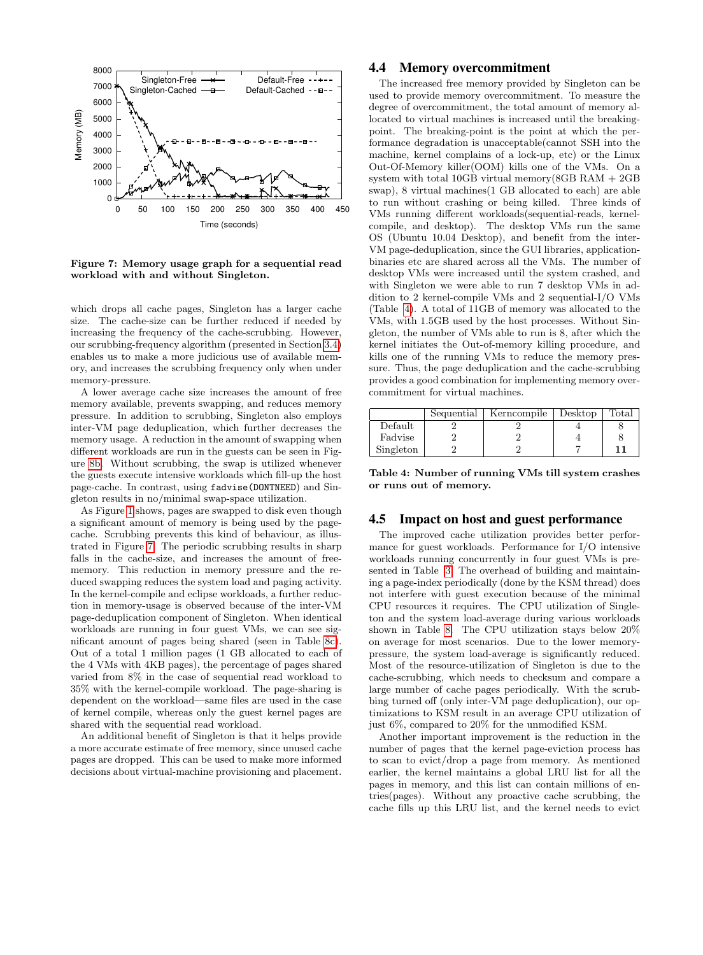

<span id="page-7-0"></span>Figure 7: Memory usage graph for a sequential read workload with and without Singleton.

which drops all cache pages, Singleton has a larger cache size. The cache-size can be further reduced if needed by increasing the frequency of the cache-scrubbing. However, our scrubbing-frequency algorithm (presented in Section [3.4\)](#page-5-1) enables us to make a more judicious use of available memory, and increases the scrubbing frequency only when under memory-pressure.

A lower average cache size increases the amount of free memory available, prevents swapping, and reduces memory pressure. In addition to scrubbing, Singleton also employs inter-VM page deduplication, which further decreases the memory usage. A reduction in the amount of swapping when different workloads are run in the guests can be seen in Figure [8b.](#page-8-1) Without scrubbing, the swap is utilized whenever the guests execute intensive workloads which fill-up the host page-cache. In contrast, using fadvise(DONTNEED) and Singleton results in no/minimal swap-space utilization.

As Figure [1](#page-1-0) shows, pages are swapped to disk even though a significant amount of memory is being used by the pagecache. Scrubbing prevents this kind of behaviour, as illustrated in Figure [7.](#page-7-0) The periodic scrubbing results in sharp falls in the cache-size, and increases the amount of freememory. This reduction in memory pressure and the reduced swapping reduces the system load and paging activity. In the kernel-compile and eclipse workloads, a further reduction in memory-usage is observed because of the inter-VM page-deduplication component of Singleton. When identical workloads are running in four guest VMs, we can see significant amount of pages being shared (seen in Table [8c\)](#page-8-2). Out of a total 1 million pages (1 GB allocated to each of the 4 VMs with 4KB pages), the percentage of pages shared varied from 8% in the case of sequential read workload to 35% with the kernel-compile workload. The page-sharing is dependent on the workload—same files are used in the case of kernel compile, whereas only the guest kernel pages are shared with the sequential read workload.

An additional benefit of Singleton is that it helps provide a more accurate estimate of free memory, since unused cache pages are dropped. This can be used to make more informed decisions about virtual-machine provisioning and placement.

#### 4.4 Memory overcommitment

The increased free memory provided by Singleton can be used to provide memory overcommitment. To measure the degree of overcommitment, the total amount of memory allocated to virtual machines is increased until the breakingpoint. The breaking-point is the point at which the performance degradation is unacceptable(cannot SSH into the machine, kernel complains of a lock-up, etc) or the Linux Out-Of-Memory killer(OOM) kills one of the VMs. On a system with total 10GB virtual memory(8GB RAM + 2GB swap), 8 virtual machines(1 GB allocated to each) are able to run without crashing or being killed. Three kinds of VMs running different workloads(sequential-reads, kernelcompile, and desktop). The desktop VMs run the same OS (Ubuntu 10.04 Desktop), and benefit from the inter-VM page-deduplication, since the GUI libraries, applicationbinaries etc are shared across all the VMs. The number of desktop VMs were increased until the system crashed, and with Singleton we were able to run 7 desktop VMs in addition to 2 kernel-compile VMs and 2 sequential-I/O VMs (Table [4\)](#page-7-1). A total of 11GB of memory was allocated to the VMs, with 1.5GB used by the host processes. Without Singleton, the number of VMs able to run is 8, after which the kernel initiates the Out-of-memory killing procedure, and kills one of the running VMs to reduce the memory pressure. Thus, the page deduplication and the cache-scrubbing provides a good combination for implementing memory overcommitment for virtual machines.

|           | Sequential | Kerncompile | Desktop | Total |
|-----------|------------|-------------|---------|-------|
| Default   |            |             |         |       |
| Fadvise   |            |             |         |       |
| Singleton |            |             |         |       |

<span id="page-7-1"></span>Table 4: Number of running VMs till system crashes or runs out of memory.

# 4.5 Impact on host and guest performance

The improved cache utilization provides better performance for guest workloads. Performance for I/O intensive workloads running concurrently in four guest VMs is presented in Table [3.](#page-6-2) The overhead of building and maintaining a page-index periodically (done by the KSM thread) does not interfere with guest execution because of the minimal CPU resources it requires. The CPU utilization of Singleton and the system load-average during various workloads shown in Table [8.](#page-9-0) The CPU utilization stays below 20% on average for most scenarios. Due to the lower memorypressure, the system load-average is significantly reduced. Most of the resource-utilization of Singleton is due to the cache-scrubbing, which needs to checksum and compare a large number of cache pages periodically. With the scrubbing turned off (only inter-VM page deduplication), our optimizations to KSM result in an average CPU utilization of just 6%, compared to 20% for the unmodified KSM.

Another important improvement is the reduction in the number of pages that the kernel page-eviction process has to scan to evict/drop a page from memory. As mentioned earlier, the kernel maintains a global LRU list for all the pages in memory, and this list can contain millions of entries(pages). Without any proactive cache scrubbing, the cache fills up this LRU list, and the kernel needs to evict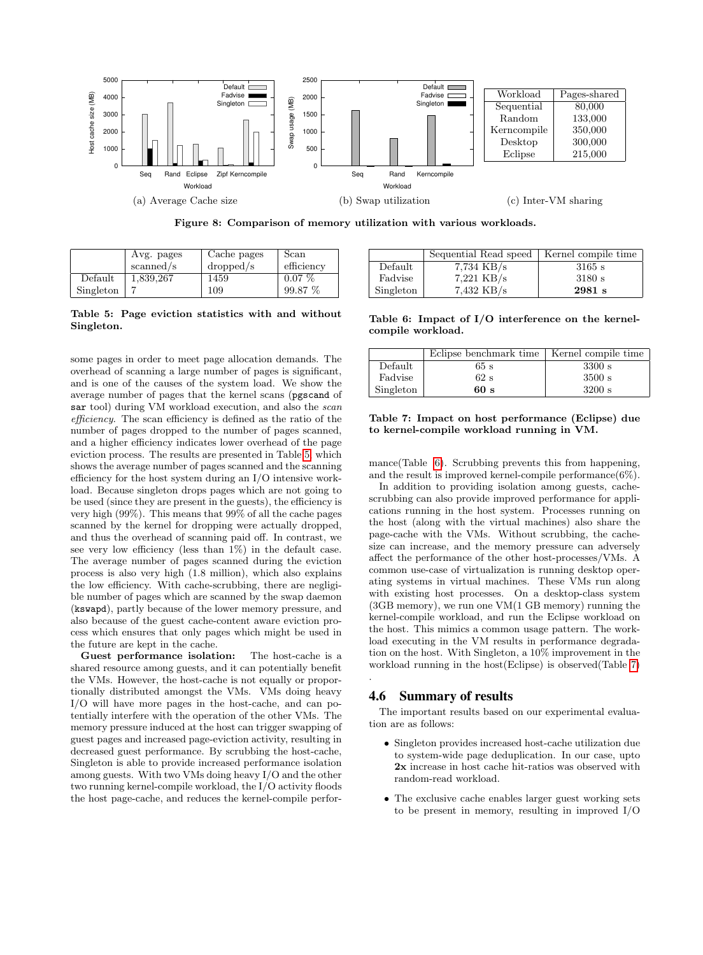<span id="page-8-0"></span>

Figure 8: Comparison of memory utilization with various workloads.

|           | Avg. pages | Cache pages | Scan       |
|-----------|------------|-------------|------------|
|           | scanned/s  | dropped/s   | efficiency |
| Default   | 1,839,267  | 1459        | $0.07\%$   |
| Singleton |            | 109         | 99.87%     |

Table 5: Page eviction statistics with and without Singleton.

some pages in order to meet page allocation demands. The overhead of scanning a large number of pages is significant, and is one of the causes of the system load. We show the average number of pages that the kernel scans (pgscand of sar tool) during VM workload execution, and also the scan efficiency. The scan efficiency is defined as the ratio of the number of pages dropped to the number of pages scanned, and a higher efficiency indicates lower overhead of the page eviction process. The results are presented in Table [5,](#page-8-3) which shows the average number of pages scanned and the scanning efficiency for the host system during an I/O intensive workload. Because singleton drops pages which are not going to be used (since they are present in the guests), the efficiency is very high (99%). This means that 99% of all the cache pages scanned by the kernel for dropping were actually dropped, and thus the overhead of scanning paid off. In contrast, we see very low efficiency (less than  $1\%$ ) in the default case. The average number of pages scanned during the eviction process is also very high (1.8 million), which also explains the low efficiency. With cache-scrubbing, there are negligible number of pages which are scanned by the swap daemon (kswapd), partly because of the lower memory pressure, and also because of the guest cache-content aware eviction process which ensures that only pages which might be used in the future are kept in the cache.

Guest performance isolation: The host-cache is a shared resource among guests, and it can potentially benefit the VMs. However, the host-cache is not equally or proportionally distributed amongst the VMs. VMs doing heavy I/O will have more pages in the host-cache, and can potentially interfere with the operation of the other VMs. The memory pressure induced at the host can trigger swapping of guest pages and increased page-eviction activity, resulting in decreased guest performance. By scrubbing the host-cache, Singleton is able to provide increased performance isolation among guests. With two VMs doing heavy I/O and the other two running kernel-compile workload, the I/O activity floods the host page-cache, and reduces the kernel-compile perfor-

<span id="page-8-4"></span><span id="page-8-3"></span><span id="page-8-2"></span><span id="page-8-1"></span>

|           | Sequential Read speed | Kernel compile time |
|-----------|-----------------------|---------------------|
| Default   | $7,734$ KB/s          | $3165$ s            |
| Fadvise   | $7,221$ KB/s          | 3180 s              |
| Singleton | $7,432$ KB/s          | 2981 s              |

Table 6: Impact of I/O interference on the kernelcompile workload.

|           | Eclipse benchmark time | Kernel compile time |
|-----------|------------------------|---------------------|
| Default   | 65 s                   | 3300 s              |
| Fadvise   | 62 s                   | 3500 s              |
| Singleton | 60 s                   | 3200 s              |

<span id="page-8-5"></span>Table 7: Impact on host performance (Eclipse) due to kernel-compile workload running in VM.

mance(Table [6\)](#page-8-4). Scrubbing prevents this from happening, and the result is improved kernel-compile performance(6%).

In addition to providing isolation among guests, cachescrubbing can also provide improved performance for applications running in the host system. Processes running on the host (along with the virtual machines) also share the page-cache with the VMs. Without scrubbing, the cachesize can increase, and the memory pressure can adversely affect the performance of the other host-processes/VMs. A common use-case of virtualization is running desktop operating systems in virtual machines. These VMs run along with existing host processes. On a desktop-class system (3GB memory), we run one VM(1 GB memory) running the kernel-compile workload, and run the Eclipse workload on the host. This mimics a common usage pattern. The workload executing in the VM results in performance degradation on the host. With Singleton, a 10% improvement in the workload running in the host(Eclipse) is observed(Table [7\)](#page-8-5)

### 4.6 Summary of results

.

The important results based on our experimental evaluation are as follows:

- Singleton provides increased host-cache utilization due to system-wide page deduplication. In our case, upto 2x increase in host cache hit-ratios was observed with random-read workload.
- The exclusive cache enables larger guest working sets to be present in memory, resulting in improved I/O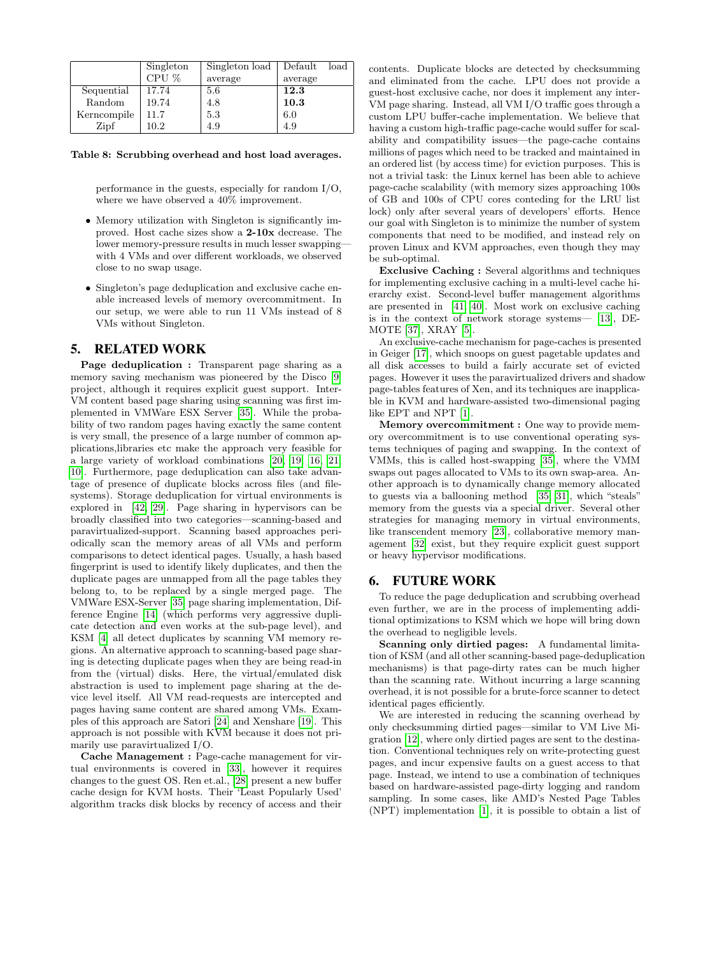|             | Singleton | Singleton load | Default | load |
|-------------|-----------|----------------|---------|------|
|             | CPU %     | average        | average |      |
| Sequential  | 17.74     | 5.6            | 12.3    |      |
| Random      | 19.74     | 4.8            | 10.3    |      |
| Kerncompile | 11.7      | 5.3            | 6.0     |      |
| Zipf        | 10.2      | 4.9            | 4.9     |      |

Table 8: Scrubbing overhead and host load averages.

<span id="page-9-0"></span>performance in the guests, especially for random I/O, where we have observed a 40% improvement.

- Memory utilization with Singleton is significantly improved. Host cache sizes show a 2-10x decrease. The lower memory-pressure results in much lesser swapping with 4 VMs and over different workloads, we observed close to no swap usage.
- Singleton's page deduplication and exclusive cache enable increased levels of memory overcommitment. In our setup, we were able to run 11 VMs instead of 8 VMs without Singleton.

# 5. RELATED WORK

Page deduplication : Transparent page sharing as a memory saving mechanism was pioneered by the Disco [\[9\]](#page-10-10) project, although it requires explicit guest support. Inter-VM content based page sharing using scanning was first implemented in VMWare ESX Server [\[35\]](#page-11-0). While the probability of two random pages having exactly the same content is very small, the presence of a large number of common applications,libraries etc make the approach very feasible for a large variety of workload combinations [\[20,](#page-11-8) [19,](#page-11-7) [16,](#page-11-16) [21,](#page-11-17) [10\]](#page-10-6). Furthermore, page deduplication can also take advantage of presence of duplicate blocks across files (and filesystems). Storage deduplication for virtual environments is explored in [\[42,](#page-11-18) [29\]](#page-11-19). Page sharing in hypervisors can be broadly classified into two categories—scanning-based and paravirtualized-support. Scanning based approaches periodically scan the memory areas of all VMs and perform comparisons to detect identical pages. Usually, a hash based fingerprint is used to identify likely duplicates, and then the duplicate pages are unmapped from all the page tables they belong to, to be replaced by a single merged page. The VMWare ESX-Server [\[35\]](#page-11-0) page sharing implementation, Difference Engine [\[14\]](#page-10-11) (which performs very aggressive duplicate detection and even works at the sub-page level), and KSM [\[4\]](#page-10-5) all detect duplicates by scanning VM memory regions. An alternative approach to scanning-based page sharing is detecting duplicate pages when they are being read-in from the (virtual) disks. Here, the virtual/emulated disk abstraction is used to implement page sharing at the device level itself. All VM read-requests are intercepted and pages having same content are shared among VMs. Examples of this approach are Satori [\[24\]](#page-11-20) and Xenshare [\[19\]](#page-11-7). This approach is not possible with KVM because it does not primarily use paravirtualized I/O.

Cache Management : Page-cache management for virtual environments is covered in [\[33\]](#page-11-21), however it requires changes to the guest OS. Ren et.al., [\[28\]](#page-11-22) present a new buffer cache design for KVM hosts. Their 'Least Popularly Used' algorithm tracks disk blocks by recency of access and their contents. Duplicate blocks are detected by checksumming and eliminated from the cache. LPU does not provide a guest-host exclusive cache, nor does it implement any inter-VM page sharing. Instead, all VM I/O traffic goes through a custom LPU buffer-cache implementation. We believe that having a custom high-traffic page-cache would suffer for scalability and compatibility issues—the page-cache contains millions of pages which need to be tracked and maintained in an ordered list (by access time) for eviction purposes. This is not a trivial task: the Linux kernel has been able to achieve page-cache scalability (with memory sizes approaching 100s of GB and 100s of CPU cores conteding for the LRU list lock) only after several years of developers' efforts. Hence our goal with Singleton is to minimize the number of system components that need to be modified, and instead rely on proven Linux and KVM approaches, even though they may be sub-optimal.

Exclusive Caching : Several algorithms and techniques for implementing exclusive caching in a multi-level cache hierarchy exist. Second-level buffer management algorithms are presented in [\[41,](#page-11-6) [40\]](#page-11-5). Most work on exclusive caching is in the context of network storage systems— [\[13\]](#page-10-3), DE-MOTE [\[37\]](#page-11-3), XRAY [\[5\]](#page-10-2).

An exclusive-cache mechanism for page-caches is presented in Geiger [\[17\]](#page-11-4), which snoops on guest pagetable updates and all disk accesses to build a fairly accurate set of evicted pages. However it uses the paravirtualized drivers and shadow page-tables features of Xen, and its techniques are inapplicable in KVM and hardware-assisted two-dimensional paging like EPT and NPT [\[1\]](#page-10-12).

Memory overcommitment : One way to provide memory overcommitment is to use conventional operating systems techniques of paging and swapping. In the context of VMMs, this is called host-swapping [\[35\]](#page-11-0), where the VMM swaps out pages allocated to VMs to its own swap-area. Another approach is to dynamically change memory allocated to guests via a ballooning method [\[35,](#page-11-0) [31\]](#page-11-23), which "steals" memory from the guests via a special driver. Several other strategies for managing memory in virtual environments, like transcendent memory [\[23\]](#page-11-24), collaborative memory management [\[32\]](#page-11-25) exist, but they require explicit guest support or heavy hypervisor modifications.

# 6. FUTURE WORK

To reduce the page deduplication and scrubbing overhead even further, we are in the process of implementing additional optimizations to KSM which we hope will bring down the overhead to negligible levels.

Scanning only dirtied pages: A fundamental limitation of KSM (and all other scanning-based page-deduplication mechanisms) is that page-dirty rates can be much higher than the scanning rate. Without incurring a large scanning overhead, it is not possible for a brute-force scanner to detect identical pages efficiently.

We are interested in reducing the scanning overhead by only checksumming dirtied pages—similar to VM Live Migration [\[12\]](#page-10-13), where only dirtied pages are sent to the destination. Conventional techniques rely on write-protecting guest pages, and incur expensive faults on a guest access to that page. Instead, we intend to use a combination of techniques based on hardware-assisted page-dirty logging and random sampling. In some cases, like AMD's Nested Page Tables (NPT) implementation [\[1\]](#page-10-12), it is possible to obtain a list of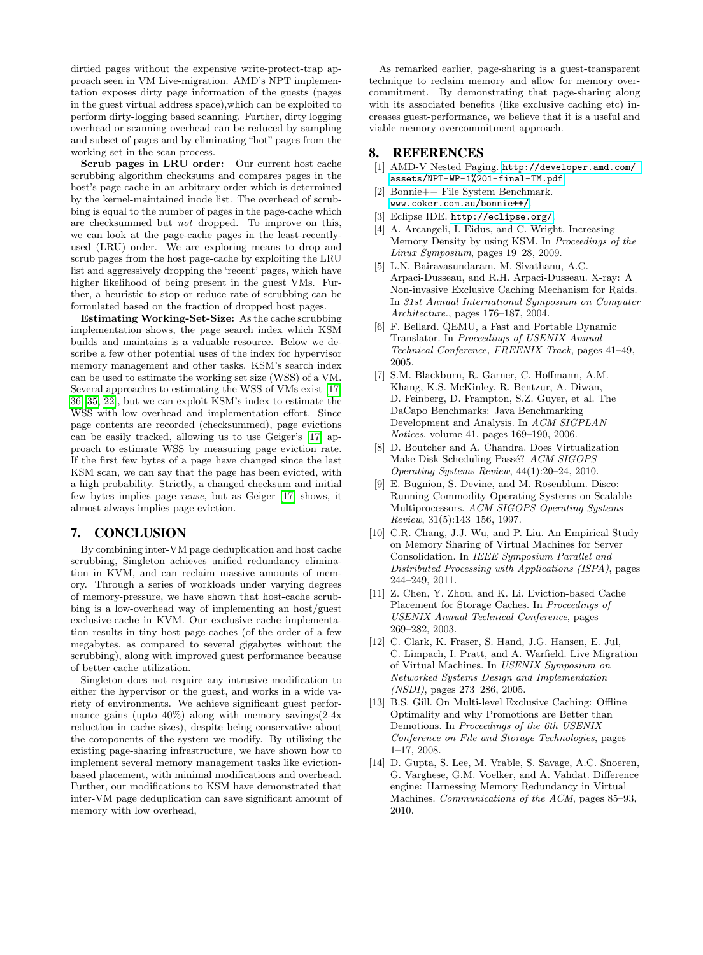dirtied pages without the expensive write-protect-trap approach seen in VM Live-migration. AMD's NPT implementation exposes dirty page information of the guests (pages in the guest virtual address space),which can be exploited to perform dirty-logging based scanning. Further, dirty logging overhead or scanning overhead can be reduced by sampling and subset of pages and by eliminating "hot" pages from the working set in the scan process.

Scrub pages in LRU order: Our current host cache scrubbing algorithm checksums and compares pages in the host's page cache in an arbitrary order which is determined by the kernel-maintained inode list. The overhead of scrubbing is equal to the number of pages in the page-cache which are checksummed but not dropped. To improve on this, we can look at the page-cache pages in the least-recentlyused (LRU) order. We are exploring means to drop and scrub pages from the host page-cache by exploiting the LRU list and aggressively dropping the 'recent' pages, which have higher likelihood of being present in the guest VMs. Further, a heuristic to stop or reduce rate of scrubbing can be formulated based on the fraction of dropped host pages.

Estimating Working-Set-Size: As the cache scrubbing implementation shows, the page search index which KSM builds and maintains is a valuable resource. Below we describe a few other potential uses of the index for hypervisor memory management and other tasks. KSM's search index can be used to estimate the working set size (WSS) of a VM. Several approaches to estimating the WSS of VMs exist [\[17,](#page-11-4) [36,](#page-11-26) [35,](#page-11-0) [22\]](#page-11-27), but we can exploit KSM's index to estimate the WSS with low overhead and implementation effort. Since page contents are recorded (checksummed), page evictions can be easily tracked, allowing us to use Geiger's [\[17\]](#page-11-4) approach to estimate WSS by measuring page eviction rate. If the first few bytes of a page have changed since the last KSM scan, we can say that the page has been evicted, with a high probability. Strictly, a changed checksum and initial few bytes implies page reuse, but as Geiger [\[17\]](#page-11-4) shows, it almost always implies page eviction.

#### 7. CONCLUSION

By combining inter-VM page deduplication and host cache scrubbing, Singleton achieves unified redundancy elimination in KVM, and can reclaim massive amounts of memory. Through a series of workloads under varying degrees of memory-pressure, we have shown that host-cache scrubbing is a low-overhead way of implementing an host/guest exclusive-cache in KVM. Our exclusive cache implementation results in tiny host page-caches (of the order of a few megabytes, as compared to several gigabytes without the scrubbing), along with improved guest performance because of better cache utilization.

Singleton does not require any intrusive modification to either the hypervisor or the guest, and works in a wide variety of environments. We achieve significant guest performance gains (upto  $40\%$ ) along with memory savings(2-4x reduction in cache sizes), despite being conservative about the components of the system we modify. By utilizing the existing page-sharing infrastructure, we have shown how to implement several memory management tasks like evictionbased placement, with minimal modifications and overhead. Further, our modifications to KSM have demonstrated that inter-VM page deduplication can save significant amount of memory with low overhead,

As remarked earlier, page-sharing is a guest-transparent technique to reclaim memory and allow for memory overcommitment. By demonstrating that page-sharing along with its associated benefits (like exclusive caching etc) increases guest-performance, we believe that it is a useful and viable memory overcommitment approach.

#### 8. REFERENCES

- <span id="page-10-12"></span>[1] AMD-V Nested Paging. [http://developer.amd.com/](http://developer.amd.com/assets/NPT-WP-1%201-final-TM.pdf) [assets/NPT-WP-1%201-final-TM.pdf](http://developer.amd.com/assets/NPT-WP-1%201-final-TM.pdf).
- <span id="page-10-7"></span>[2] Bonnie++ File System Benchmark. <www.coker.com.au/bonnie++/>.
- <span id="page-10-9"></span>[3] Eclipse IDE. <http://eclipse.org/>.
- <span id="page-10-5"></span>[4] A. Arcangeli, I. Eidus, and C. Wright. Increasing Memory Density by using KSM. In Proceedings of the Linux Symposium, pages 19–28, 2009.
- <span id="page-10-2"></span>[5] L.N. Bairavasundaram, M. Sivathanu, A.C. Arpaci-Dusseau, and R.H. Arpaci-Dusseau. X-ray: A Non-invasive Exclusive Caching Mechanism for Raids. In 31st Annual International Symposium on Computer Architecture., pages 176–187, 2004.
- <span id="page-10-4"></span>[6] F. Bellard. QEMU, a Fast and Portable Dynamic Translator. In Proceedings of USENIX Annual Technical Conference, FREENIX Track, pages 41–49, 2005.
- <span id="page-10-8"></span>[7] S.M. Blackburn, R. Garner, C. Hoffmann, A.M. Khang, K.S. McKinley, R. Bentzur, A. Diwan, D. Feinberg, D. Frampton, S.Z. Guyer, et al. The DaCapo Benchmarks: Java Benchmarking Development and Analysis. In ACM SIGPLAN Notices, volume 41, pages 169–190, 2006.
- <span id="page-10-0"></span>[8] D. Boutcher and A. Chandra. Does Virtualization Make Disk Scheduling Passé? ACM SIGOPS Operating Systems Review, 44(1):20–24, 2010.
- <span id="page-10-10"></span>[9] E. Bugnion, S. Devine, and M. Rosenblum. Disco: Running Commodity Operating Systems on Scalable Multiprocessors. ACM SIGOPS Operating Systems Review, 31(5):143–156, 1997.
- <span id="page-10-6"></span>[10] C.R. Chang, J.J. Wu, and P. Liu. An Empirical Study on Memory Sharing of Virtual Machines for Server Consolidation. In IEEE Symposium Parallel and Distributed Processing with Applications (ISPA), pages 244–249, 2011.
- <span id="page-10-1"></span>[11] Z. Chen, Y. Zhou, and K. Li. Eviction-based Cache Placement for Storage Caches. In Proceedings of USENIX Annual Technical Conference, pages 269–282, 2003.
- <span id="page-10-13"></span>[12] C. Clark, K. Fraser, S. Hand, J.G. Hansen, E. Jul, C. Limpach, I. Pratt, and A. Warfield. Live Migration of Virtual Machines. In USENIX Symposium on Networked Systems Design and Implementation (NSDI), pages 273–286, 2005.
- <span id="page-10-3"></span>[13] B.S. Gill. On Multi-level Exclusive Caching: Offline Optimality and why Promotions are Better than Demotions. In Proceedings of the 6th USENIX Conference on File and Storage Technologies, pages 1–17, 2008.
- <span id="page-10-11"></span>[14] D. Gupta, S. Lee, M. Vrable, S. Savage, A.C. Snoeren, G. Varghese, G.M. Voelker, and A. Vahdat. Difference engine: Harnessing Memory Redundancy in Virtual Machines. *Communications of the ACM*, pages 85–93, 2010.